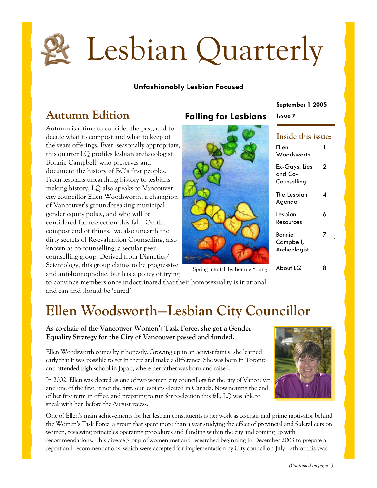

#### **Unfashionably Lesbian Focused**

## **Autumn Edition**

Autumn is a time to consider the past, and to decide what to compost and what to keep of the years offerings. Ever seasonally appropriate, this quarter LQ profiles lesbian archaeologist Bonnie Campbell, who preserves and document the history of BC's first peoples. From lesbians unearthing history to lesbians making history, LQ also speaks to Vancouver city councillor Ellen Woodsworth, a champion of Vancouver's groundbreaking municipal gender equity policy, and who will be considered for re-election this fall. On the compost end of things, we also unearth the dirty secrets of Re-evaluation Counselling, also known as co-counselling, a secular peer counselling group. Derived from Dianetics/ Scientology, this group claims to be progressive and anti-homophobic, but has a policy of trying

# **Falling for Lesbians**

#### **September 1 2005**

**Issue 7** 

|         | Inside this issue:                      |   |
|---------|-----------------------------------------|---|
|         | Ellen<br>Woodsworth                     |   |
|         | Ex-Gays, Lies<br>and Co-<br>Counselling | 2 |
|         | The Lesbian<br>Agenda                   | 4 |
|         | Lesbian<br>Resources                    | 6 |
|         | Bonnie<br>Campbell,<br>Archeologist     | 7 |
| e Young | About LQ                                | 8 |

Spring into fall by Bonni

to convince members once indoctrinated that their homosexuality is irrational and can and should be 'cured'.

# **Ellen Woodsworth—Lesbian City Councillor**

**As co-chair of the Vancouver Women's Task Force, she got a Gender Equality Strategy for the City of Vancouver passed and funded.** 

Ellen Woodsworth comes by it honestly. Growing up in an activist family, she learned early that it was possible to get in there and make a difference. She was born in Toronto and attended high school in Japan, where her father was born and raised.

In 2002, Ellen was elected as one of two women city councillors for the city of Vancouver, and one of the first, if not the first, out lesbians elected in Canada. Now nearing the end of her first term in office, and preparing to run for re-election this fall, LQ was able to speak with her before the August recess.

One of Ellen's main achievements for her lesbian constituents is her work as co-chair and prime motivator behind the Women's Task Force, a group that spent more than a year studying the effect of provincial and federal cuts on women, reviewing principles operating procedures and funding within the city and coming up with recommendations. This diverse group of women met and researched beginning in December 2003 to prepare a report and recommendations, which were accepted for implementation by City council on July 12th of this year.

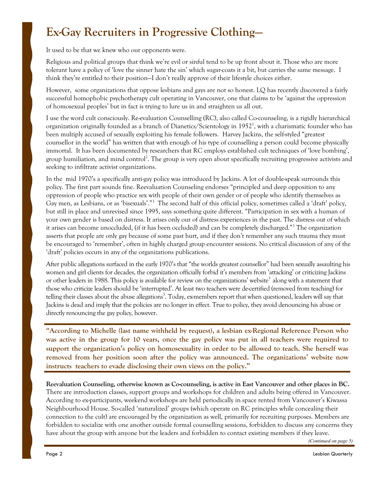## **Ex-Gay Recruiters in Progressive Clothing—**

It used to be that we knew who our opponents were.

Religious and political groups that think we're evil or sinful tend to be up front about it. Those who are more tolerant have a policy of 'love the sinner hate the sin' which sugar-coats it a bit, but carries the same message. I think they're entitled to their position—I don't really approve of their lifestyle choices either.

However, some organizations that oppose lesbians and gays are not so honest. LQ has recently discovered a fairly successful homophobic psychotherapy cult operating in Vancouver, one that claims to be 'against the oppression of homosexual peoples' but in fact is trying to lure us in and straighten us all out.

I use the word cult consciously. Re-evaluation Counselling (RC), also called Co-counseling, is a rigidly hierarchical organization originally founded as a branch of Dianetics/Scientology in 1952<sup>1</sup>, with a charismatic founder who has been multiply accused of sexually exploiting his female followers. Harvey Jackins, the self-styled "greatest counsellor in the world" has written that with enough of his type of counselling a person could become physically immortal. It has been documented by researchers that RC employs established cult techniques of 'love bombing', group humiliation, and mind control<sup>2</sup>. The group is very open about specifically recruiting progressive activists and seeking to infiltrate activist organizations.

In the mid 1970's a specifically anti-gay policy was introduced by Jackins. A lot of double-speak surrounds this policy. The first part sounds fine. Reevaluation Counseling endorses "principled and deep opposition to any oppression of people who practice sex with people of their own gender or of people who identify themselves as Gay men, as Lesbians, or as 'bisexuals'."<sup>3</sup> The second half of this official policy, sometimes called a 'draft' policy, but still in place and unrevised since 1995, says something quite different. "Participation in sex with a human of your own gender is based on distress. It arises only our of distress experiences in the past. The distress out of which it arises can become unoccluded, (if it has been occluded) and can be completely discharged."<sup>3</sup> The organization asserts that people are only gay because of some past hurt, and if they don't remember any such trauma they must be encouraged to 'remember', often in highly charged group encounter sessions. No critical discussion of any of the 'draft' policies occurs in any of the organizations publications.

After public allegations surfaced in the early 1970's that "the worlds greatest counsellor" had been sexually assaulting his women and girl clients for decades, the organization officially forbid it's members from 'attacking' or criticizing Jackins or other leaders in 1988. This policy is available for review on the organizations' website<sup>3</sup> along with a statement that those who criticize leaders should be 'interrupted'. At least two teachers were de-certified (removed from teaching) for telling their classes about the abuse allegations<sup>3</sup>. Today, ex-members report that when questioned, leaders will say that Jackins is dead and imply that the policies are no longer in effect. True to policy, they avoid denouncing his abuse or directly renouncing the gay policy, however.

**"According to Michelle (last name withheld by request), a lesbian ex-Regional Reference Person who was active in the group for 10 years, once the gay policy was put in all teachers were required to support the organization's policy on homosexuality in order to be allowed to teach. She herself was removed from her position soon after the policy was announced. The organizations' website now instructs teachers to evade disclosing their own views on the policy."** 

**Reevaluation Counseling, otherwise known as Co-counseling, is active in East Vancouver and other places in BC.**  There are introduction classes, support groups and workshops for children and adults being offered in Vancouver. According to ex-participants, weekend workshops are held periodically in space rented from Vancouver's Kiwassa Neighbourhood House. So-called 'naturalized' groups (which operate on RC principles while concealing their connection to the cult) are encouraged by the organization as well, primarily for recruiting purposes. Members are forbidden to socialize with one another outside formal counselling sessions, forbidden to discuss any concerns they have about the group with anyone but the leaders and forbidden to contact existing members if they leave.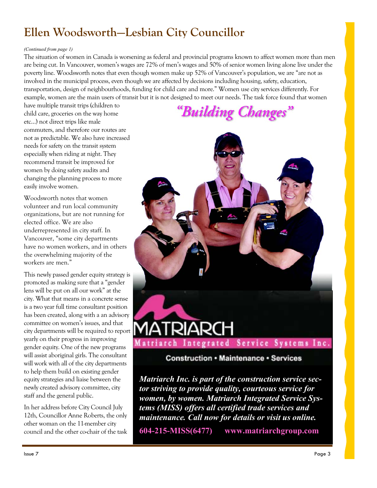## **Ellen Woodsworth—Lesbian City Councillor**

#### *(Continued from page 1)*

The situation of women in Canada is worsening as federal and provincial programs known to affect women more than men are being cut. In Vancouver, women's wages are 72% of men's wages and 50% of senior women living alone live under the poverty line. Woodsworth notes that even though women make up 52% of Vancouver's population, we are "are not as involved in the municipal process, even though we are affected by decisions including housing, safety, education, transportation, design of neighbourhoods, funding for child care and more." Women use city services differently. For example, women are the main users of transit but it is not designed to meet our needs. The task force found that women

have multiple transit trips (children to child care, groceries on the way home etc…) not direct trips like male commuters, and therefore our routes are not as predictable. We also have increased needs for safety on the transit system especially when riding at night. They recommend transit be improved for women by doing safety audits and changing the planning process to more easily involve women.

Woodsworth notes that women volunteer and run local community organizations, but are not running for elected office. We are also underrepresented in city staff. In Vancouver, "some city departments have no women workers, and in others the overwhelming majority of the workers are men."

This newly passed gender equity strategy is promoted as making sure that a "gender lens will be put on all our work" at the city. What that means in a concrete sense is a two year full time consultant position has been created, along with a an advisory committee on women's issues, and that city departments will be required to report yearly on their progress in improving gender equity. One of the new programs will assist aboriginal girls. The consultant will work with all of the city departments to help them build on existing gender equity strategies and liaise between the newly created advisory committee, city staff and the general public.

In her address before City Council July 12th, Councillor Anne Roberts, the only other woman on the 11-member city council and the other co-chair of the task

"Building Changes"



#### **Construction • Maintenance • Services**

*Matriarch Inc. is part of the construction service sector striving to provide quality, courteous service for [women, by women. Matriarch Integrated Service Sys](http://www.matriarchgroup.com)tems (MISS) offers all certified trade services and maintenance. Call now for details or visit us online.* 

**604-215-MISS(6477) www.matriarchgroup.com**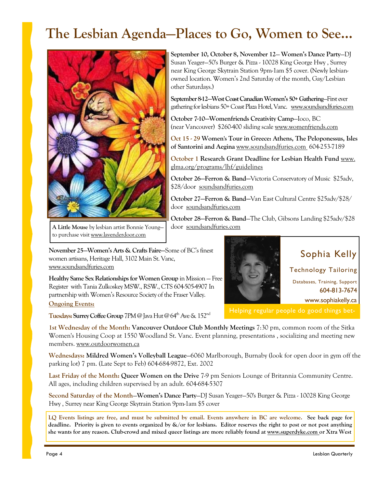# **The Lesbian Agenda—Places to Go, Women to See...**



**A Little Mouse** by lesbian artist Bonnie Young to purchase visit www.lavenderdoor.com

**September 10, October 8, November 12**— **Women's Dance Party**—DJ Susan Yeager—50's Burger & Pizza - 10028 King George Hwy , Surrey near King George Skytrain Station 9pm-1am \$5 cover. (Newly lesbianowned location. Women's 2nd Saturday of the month, Gay/Lesbian other Saturdays.)

**September 8-12—West Coast Canadian Women's 50+ Gathering**—First ever gathering for lesbians 50+ Coast Plaza Hotel, Vanc. www.soundsandfuries.com

**October 7-10—Womenfriends Creativity Camp**—Ioco, BC (near Vancouver) \$260-400 sliding scale www.womenfriends.com

**Oct 15 - 29 Women's Tour in Greece: Athens, The Peloponessus, Isles of Santorini and Aegina** www.soundsandfuries.com 604-253-7189

**October 1 Research Grant Deadline for Lesbian Health Fund** www. glma.org/programs/lhf/guidelines

**October 26—Ferron & Band—**Victoria Conservatory of Music \$25adv, \$28/door soundsandfuries.com

**October 27—Ferron & Band—**Van East Cultural Centre \$25adv/\$28/ door soundsandfuries.com

**October 28—Ferron & Band**—The Club, Gibsons Landing \$25adv/\$28 door soundsandfuries.com

**November 25—Women's Arts & Crafts Faire—**Some of BC's finest women artisans, Heritage Hall, 3102 Main St. Vanc, www.soundsandfuries.com

**Healthy Same Sex Relationships for Women Group** in Mission — Free Register with Tania Zulkoskey MSW., RSW., CTS 604-505-4907 In partnership with Women's Resource Society of the Fraser Valley. **Ongoing Events:** 

**Tuesdays: Surrey Coffee Group** 7PM @ Java Hut @ 64th Ave & 152nd

**1st Wednesday of the Month: Vancouver Outdoor Club Monthly Meetings** 7:30 pm, common room of the Sitka Women's Housing Coop at 1550 Woodland St. Vanc. Event planning, presentations , socializing and meeting new members. www.outdoorwomen.ca

**Wednesdays: Mildred Women's Volleyball League**—6060 Marlborough, Burnaby (look for open door in gym off the parking lot) 7 pm. (Late Sept to Feb) 604-684-9872, Ext. 2002

**Last Friday of the Month: Queer Women on the Drive** 7-9 pm Seniors Lounge of Britannia Community Centre. All ages, including children supervised by an adult. 604-684-5307

**Second Saturday of the Month**—**Women's Dance Party**—DJ Susan Yeager—50's Burger & Pizza - 10028 King George Hwy , Surrey near King George Skytrain Station 9pm-1am \$5 cover

**LQ Events listings are free, and must be submitted by email. Events anywhere in BC are welcome. See back page for deadline. Priority is given to events organized by &/or for lesbians. Editor reserves the right to post or not post anything she wants for any reason. Club-crowd and mixed queer listings are more reliably found at www.superdyke.com or Xtra West**



## Sophia Kelly

Technology Tailoring

Databases, Training, Support 604-813-7674

www.sophiakelly.ca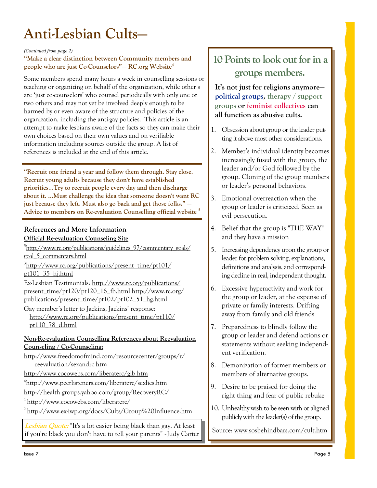# **Anti-Lesbian Cults—**

*(Continued from page 2)* 

#### **"Make a clear distinction between Community members and people who are just Co-Counselors"— RC.org Website4**

Some members spend many hours a week in counselling sessions or teaching or organizing on behalf of the organization, while other s are 'just co-counselors' who counsel periodically with only one or two others and may not yet be involved deeply enough to be harmed by or even aware of the structure and policies of the organization, including the anti-gay policies. This article is an attempt to make lesbians aware of the facts so they can make their own choices based on their own values and on verifiable information including sources outside the group. A list of references is included at the end of this article.

**"Recruit one friend a year and follow them through. Stay close. Recruit young adults because they don't have established priorities...Try to recruit people every day and then discharge about it. ...Must challenge the idea that someone doesn't want RC just because they left. Must also go back and get those folks." — Advice to members on Re-evaluation Counselling official website 5**

#### **References and More Information**

**Official Re-evaluation Counseling Site**

<sup>5</sup>http://www.rc.org/publications/guidelines\_97/commentary\_goals/ goal\_5\_commentary.html <sup>3</sup>http://www.rc.org/publications/present\_time/pt101/ pt101\_35\_hj.html Ex-Lesbian Testimonials: http://www.rc.org/publications/ present\_time/pt120/pt120\_16\_fb.html http://www.rc.org/ publications/present\_time/pt102/pt102\_51\_hg.html Gay member's letter to Jackins, Jackins' response: http://www.rc.org/publications/present\_time/pt110/ pt110\_78\_d.html

#### **Non-Re-evaluation Counselling References about Reevaluation Counseling / Co-Counseling:**

http://www.freedomofmind.com/resourcecenter/groups/r/ reevaluation/sexandrc.htm

http://www.cocowebs.com/liberaterc/glb.htm

4 http://www.peerlisteners.com/liberaterc/sexlies.htm

http://health.groups.yahoo.com/group/RecoveryRC/

1 http://www.cocowebs.com/liberaterc/

2 http://www.ex-iwp.org/docs/Cults/Group%20Influence.htm

Source: www.sosbehindbars.com/cult.htm **Lesbian Quote:** "It's a lot easier being black than gay. At least if you're black you don't have to tell your parents" ~Judy Carter

## **10 Points to look out for in a groups members.**

**It's not just for religions anymore political groups, therapy / support groups or feminist collectives can all function as abusive cults.** 

- 1. Obsession about group or the leader putting it above most other considerations.
- 2. Member's individual identity becomes increasingly fused with the group, the leader and/or God followed by the group. Cloning of the group members or leader's personal behaviors.
- 3. Emotional overreaction when the group or leader is criticized. Seen as evil persecution.
- 4. Belief that the group is "THE WAY" and they have a mission
- 5. Increasing dependency upon the group or leader for problem solving, explanations, definitions and analysis, and corresponding decline in real, independent thought.
- 6. Excessive hyperactivity and work for the group or leader, at the expense of private or family interests. Drifting away from family and old friends
- 7. Preparedness to blindly follow the group or leader and defend actions or statements without seeking independent verification.
- 8. Demonization of former members or members of alternative groups.
- 9. Desire to be praised for doing the right thing and fear of public rebuke
- 10. Unhealthy wish to be seen with or aligned publicly with the leader(s) of the group.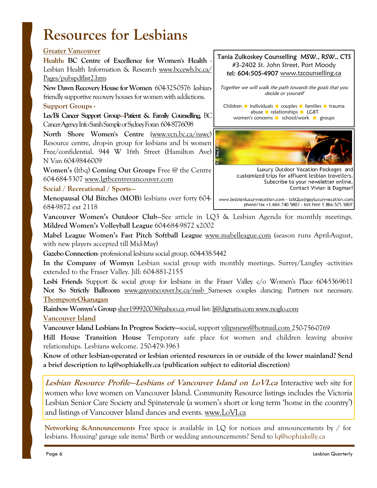# **Resources for Lesbians**

#### **Greater Vancouver**

Health: BC Centre of Excellence for Women's Health Lesbian Health Information & Research www.bccewh.bc.ca/ Pages/pubspdflist2.htm

**New Dawn Recovery House for Women** 604-325-0576 lesbianfriendly supportive recovery houses for women with addictions.

#### **Support Groups -**

**Les/Bi Cancer Support Group—Patient & Family Counselling,** BC Cancer Agency Info Sarah Sample or Sydney Foran 604-877-6098

**North Shore Women's Centre** (www.vcn.bc.ca/nswc) Resource centre, drop-in group for lesbians and bi women Free/confidential. 944 W 16th Street (Hamilton Ave) N Van 604-984-6009

**Women's** (ltbq) **Coming Out Groups** Free @ the Centre 604-684-5307 www.lgtbcentrevancouver.com

#### **Social / Recreational / Sports—**

**Menopausal Old Bitches (MOB)** lesbians over forty 604- 684-9872 ext 2118

#### [Tania Zulkoskey Counselling MSW., RSW., CTS](http://www.tzcounselling.ca)

#3-2402 St. John Street, Port Moody tel: 604:505-4907 www.tzcounselling.ca

Together we will walk the path towards the goals that you decide or yourself

Children  $\blacksquare$  individuals  $\blacksquare$  couples  $\blacksquare$  families  $\blacksquare$  trauma abuse relationships LGBT women's concerns **s** school/work **g** groups



customized trips for affluent lesbian travellers. Subscribe to your newsletter online. Contact Vivian & Dagmar!

www.lesbianluxuryvacation.com - talk2us@gayluxuryvacation.com phone/fax +1.604.740.5807 - toll free 1.866.525.5807

**Vancouver Women's Outdoor Club**—See article in LQ3 & Lesbian Agenda for monthly meetings. **Mildred Women's Volleyball League** 604-684-9872 x2002

**Mabel League Women's Fast Pitch Softball League** www.mabelleague.com (season runs April-August, with new players accepted till Mid-May)

Gazebo Connection- professional lesbians social group. 604-438-5442

**In the Company of Womyn** Lesbian social group with monthly meetings. Surrey/Langley -activities extended to the Fraser Valley. Jill: 604-881-2155

**Lesbi Friends** Support & social group for lesbians in the Fraser Valley c/o Women's Place 604-536-9611 Not So Strictly Ballroom **www.gayvancouver.bc.ca/nssb** Samesex couples dancing. Partners not necessary. **Thompson-Okanagan** 

**Rainbow Womyn's Group** sher19992003@yahoo.ca email list: lj@dignatis.com www.noglo.com **Vancouver Island**

**Vancouver Island Lesbians In Progress Society—**social, support vilipsnews@hotmail.com 250-756-0769

**Hill House Transition House** Temporary safe place for women and children leaving abusive relationships. Lesbians welcome. 250-479-3963

**Know of other lesbian-operated or lesbian oriented resources in or outside of the lower mainland? Send a brief description to lq@sophiakelly.ca (publication subject to editorial discretion)** 

**Lesbian Resource Profile—Lesbians of Vancouver Island on LoVI.ca** Interactive web site for women who love women on Vancouver Island. Community Resource listings includes the Victoria Lesbian Senior Care Society and Spinstervale (a women's short or long term 'home in the country') and listings of Vancouver Island dances and events. www.LoVI.ca

**Networking &Announcements** Free space is available in LQ for notices and announcements by / for lesbians. Housing? garage sale items? Birth or wedding announcements? Send to lq@sophiakelly.ca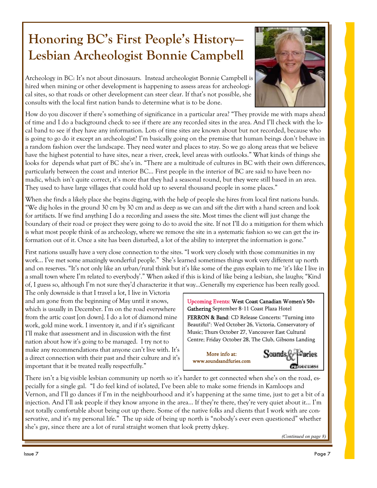# **Honoring BC's First People's History— Lesbian Archeologist Bonnie Campbell**

Archeology in BC: It's not about dinosaurs. Instead archeologist Bonnie Campbell is hired when mining or other development is happening to assess areas for archeological sites, so that roads or other development can steer clear. If that's not possible, she consults with the local first nation bands to determine what is to be done.



How do you discover if there's something of significance in a particular area? "They provide me with maps ahead of time and I do a background check to see if there are any recorded sites in the area. And I'll check with the local band to see if they have any information. Lots of time sites are known about but not recorded, because who is going to go do it except an archeologist? I'm basically going on the premise that human beings don't behave in a random fashion over the landscape. They need water and places to stay. So we go along areas that we believe have the highest potential to have sites, near a river, creek, level areas with outlooks." What kinds of things she looks for depends what part of BC she's in. "There are a multitude of cultures in BC with their own differences, particularly between the coast and interior BC… First people in the interior of BC are said to have been nomadic, which isn't quite correct, it's more that they had a seasonal round, but they were still based in an area. They used to have large villages that could hold up to several thousand people in some places."

When she finds a likely place she begins digging, with the help of people she hires from local first nations bands. "We dig holes in the ground 30 cm by 30 cm and as deep as we can and sift the dirt with a hand screen and look for artifacts. If we find anything I do a recording and assess the site. Most times the client will just change the boundary of their road or project they were going to do to avoid the site. If not I'll do a mitigation for them which is what most people think of as archeology, where we remove the site in a systematic fashion so we can get the information out of it. Once a site has been disturbed, a lot of the ability to interpret the information is gone."

First nations usually have a very close connection to the sites. "I work very closely with those communities in my work… I've met some amazingly wonderful people." She's learned sometimes things work very different up north and on reserves. "It's not only like an urban/rural think but it's like some of the guys explain to me 'it's like I live in a small town where I'm related to everybody'." When asked if this is kind of like being a lesbian, she laughs; "Kind of, I guess so, although I'm not sure they'd characterize it that way...Generally my experience has been really good.

work, gold mine work. I inventory it, and if it's significant The only downside is that I travel a lot, I live in Victoria and am gone from the beginning of May until it snows, which is usually in December. I'm on the road everywhere from the artic coast [on down]. I do a lot of diamond mine I'll make that assessment and in discussion with the first nation about how it's going to be managed. I try not to make any recommendations that anyone can't live with. It's a direct connection with their past and their culture and it's important that it be treated really respectfully."

Upcoming Events: West Coast Canadian Women's 50+ Gathering September 8-11 Coast Plaza Hotel FERRON & Band: CD Release Concerts: "Turning into Beautiful": Wed October 26, Victoria, Conservatory of Music; Thurs October 27, Vancouver East Cultural [Centre; Friday October 28, The Club, Gibsons Landing](http://www.soundsandfuries.com) 

 $\text{Sounds} \leftrightarrow \text{Auries}$ More info at: www.soundsandfuries.com CODECTIONS

There isn't a big visible lesbian community up north so it's harder to get connected when she's on the road, especially for a single gal. "I do feel kind of isolated, I've been able to make some friends in Kamloops and Vernon, and I'll go dances if I'm in the neighbourhood and it's happening at the same time, just to get a bit of a injection. And I'll ask people if they know anyone in the area... If they're there, they're very quiet about it... I'm not totally comfortable about being out up there. Some of the native folks and clients that I work with are conservative, and it's my personal life." The up side of being up north is "nobody's ever even questioned" whether she's gay, since there are a lot of rural straight women that look pretty dykey.

*(Continued on page 8)*